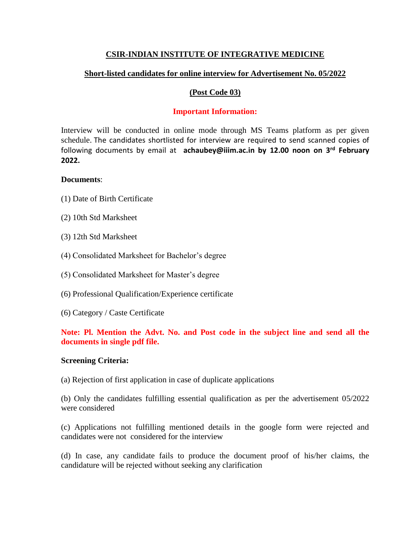# **CSIR-INDIAN INSTITUTE OF INTEGRATIVE MEDICINE**

# **Short-listed candidates for online interview for Advertisement No. 05/2022**

### **(Post Code 03)**

### **Important Information:**

Interview will be conducted in online mode through MS Teams platform as per given schedule. The candidates shortlisted for interview are required to send scanned copies of following documents by email at **achaubey@iiim.ac.in by 12.00 noon on 3rd February 2022.** 

### **Documents**:

- (1) Date of Birth Certificate
- (2) 10th Std Marksheet
- (3) 12th Std Marksheet
- (4) Consolidated Marksheet for Bachelor's degree
- (5) Consolidated Marksheet for Master's degree
- (6) Professional Qualification/Experience certificate
- (6) Category / Caste Certificate

# **Note: Pl. Mention the Advt. No. and Post code in the subject line and send all the documents in single pdf file.**

#### **Screening Criteria:**

(a) Rejection of first application in case of duplicate applications

(b) Only the candidates fulfilling essential qualification as per the advertisement 05/2022 were considered

(c) Applications not fulfilling mentioned details in the google form were rejected and candidates were not considered for the interview

(d) In case, any candidate fails to produce the document proof of his/her claims, the candidature will be rejected without seeking any clarification